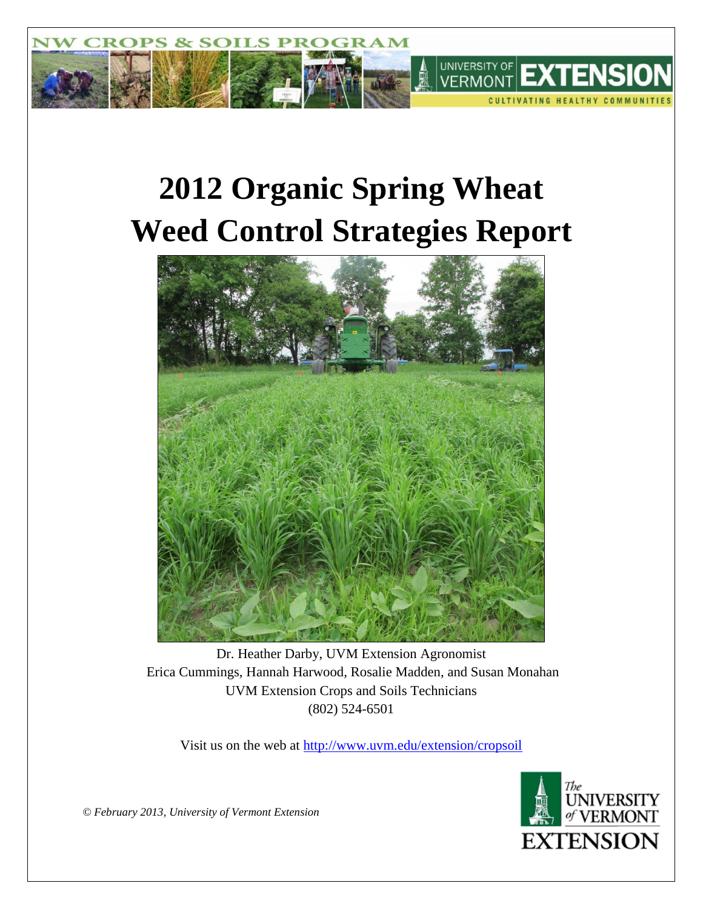

# **2012 Organic Spring Wheat Weed Control Strategies Report**



Dr. Heather Darby, UVM Extension Agronomist Erica Cummings, Hannah Harwood, Rosalie Madden, and Susan Monahan UVM Extension Crops and Soils Technicians (802) 524-6501

Visit us on the web at<http://www.uvm.edu/extension/cropsoil>



*© February 2013, University of Vermont Extension*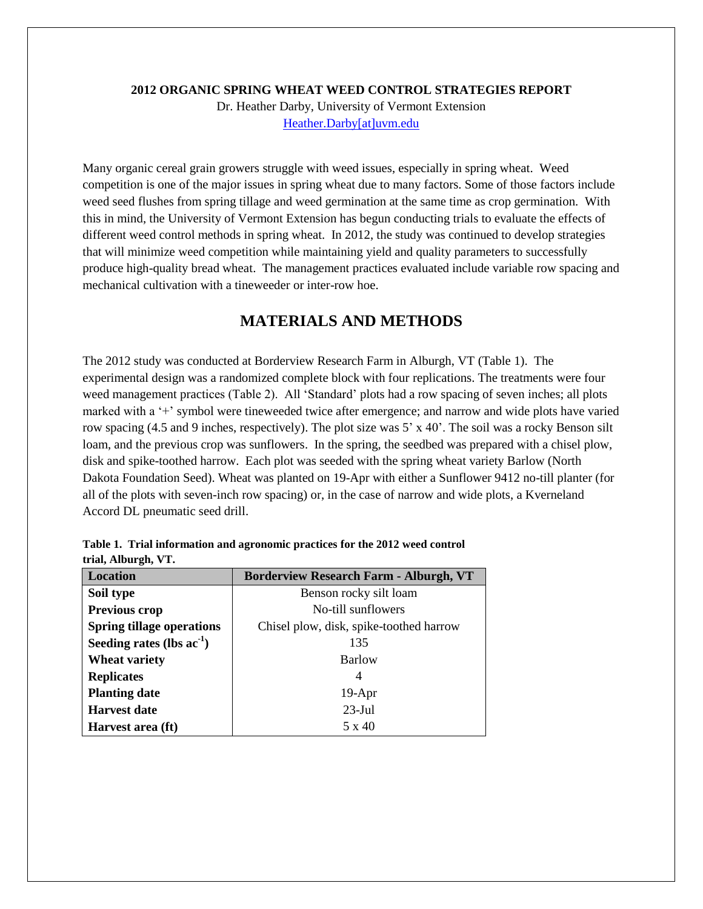#### **2012 ORGANIC SPRING WHEAT WEED CONTROL STRATEGIES REPORT**

Dr. Heather Darby, University of Vermont Extension [Heather.Darby\[at\]uvm.edu](mailto:Heather.Darby@uvm.edu)

Many organic cereal grain growers struggle with weed issues, especially in spring wheat. Weed competition is one of the major issues in spring wheat due to many factors. Some of those factors include weed seed flushes from spring tillage and weed germination at the same time as crop germination. With this in mind, the University of Vermont Extension has begun conducting trials to evaluate the effects of different weed control methods in spring wheat. In 2012, the study was continued to develop strategies that will minimize weed competition while maintaining yield and quality parameters to successfully produce high-quality bread wheat. The management practices evaluated include variable row spacing and mechanical cultivation with a tineweeder or inter-row hoe.

# **MATERIALS AND METHODS**

The 2012 study was conducted at Borderview Research Farm in Alburgh, VT (Table 1). The experimental design was a randomized complete block with four replications. The treatments were four weed management practices (Table 2). All 'Standard' plots had a row spacing of seven inches; all plots marked with a '+' symbol were tineweeded twice after emergence; and narrow and wide plots have varied row spacing (4.5 and 9 inches, respectively). The plot size was 5' x 40'. The soil was a rocky Benson silt loam, and the previous crop was sunflowers. In the spring, the seedbed was prepared with a chisel plow, disk and spike-toothed harrow. Each plot was seeded with the spring wheat variety Barlow (North Dakota Foundation Seed). Wheat was planted on 19-Apr with either a Sunflower 9412 no-till planter (for all of the plots with seven-inch row spacing) or, in the case of narrow and wide plots, a Kverneland Accord DL pneumatic seed drill.

| <b>Location</b><br><b>Borderview Research Farm - Alburgh, VT</b> |                                         |  |  |  |
|------------------------------------------------------------------|-----------------------------------------|--|--|--|
| Soil type                                                        | Benson rocky silt loam                  |  |  |  |
| <b>Previous crop</b>                                             | No-till sunflowers                      |  |  |  |
| <b>Spring tillage operations</b>                                 | Chisel plow, disk, spike-toothed harrow |  |  |  |
| Seeding rates (lbs $ac^{-1}$ )                                   | 135                                     |  |  |  |
| <b>Wheat variety</b>                                             | Barlow                                  |  |  |  |
| <b>Replicates</b>                                                | 4                                       |  |  |  |
| <b>Planting date</b>                                             | $19-Apr$                                |  |  |  |
| <b>Harvest date</b>                                              | $23$ -Jul                               |  |  |  |
| Harvest area (ft)                                                | 5 x 40                                  |  |  |  |

**Table 1. Trial information and agronomic practices for the 2012 weed control trial, Alburgh, VT.**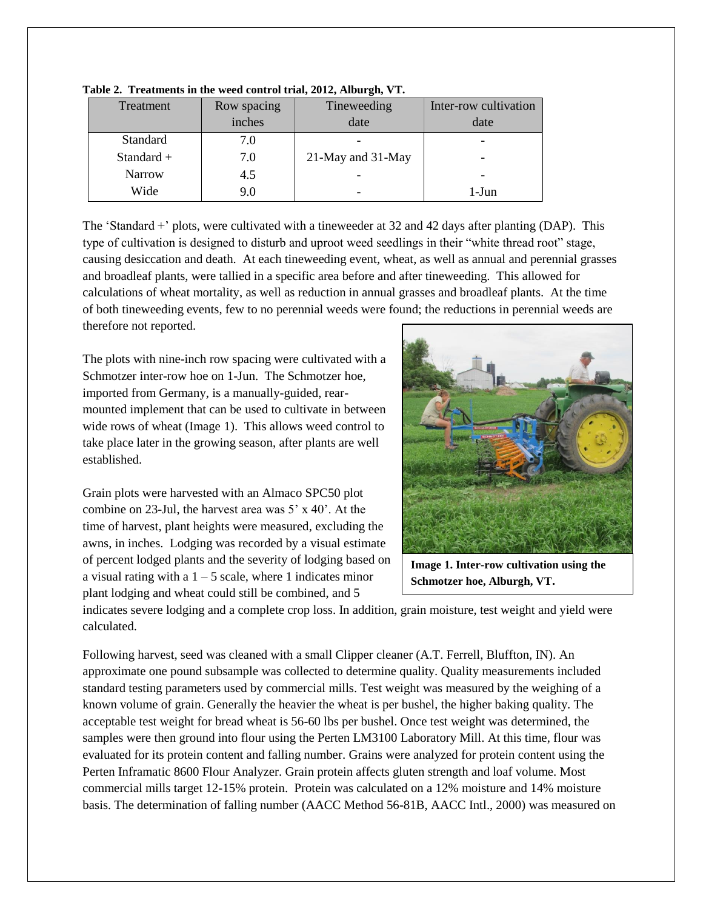| Treatment     | Row spacing | Tineweeding       | Inter-row cultivation |
|---------------|-------------|-------------------|-----------------------|
|               | inches      | date              | date                  |
| Standard      | 7.0         |                   |                       |
| Standard +    | 7.0         | 21-May and 31-May |                       |
| <b>Narrow</b> | 4.5         |                   |                       |
| Wide          | 9.0         |                   | $1-J$ un              |

**Table 2. Treatments in the weed control trial, 2012, Alburgh, VT.**

The 'Standard +' plots, were cultivated with a tineweeder at 32 and 42 days after planting (DAP). This type of cultivation is designed to disturb and uproot weed seedlings in their "white thread root" stage, causing desiccation and death. At each tineweeding event, wheat, as well as annual and perennial grasses and broadleaf plants, were tallied in a specific area before and after tineweeding. This allowed for calculations of wheat mortality, as well as reduction in annual grasses and broadleaf plants. At the time of both tineweeding events, few to no perennial weeds were found; the reductions in perennial weeds are therefore not reported.

The plots with nine-inch row spacing were cultivated with a Schmotzer inter-row hoe on 1-Jun. The Schmotzer hoe, imported from Germany, is a manually-guided, rearmounted implement that can be used to cultivate in between wide rows of wheat (Image 1). This allows weed control to take place later in the growing season, after plants are well established.

Grain plots were harvested with an Almaco SPC50 plot combine on 23-Jul, the harvest area was 5' x 40'. At the time of harvest, plant heights were measured, excluding the awns, in inches. Lodging was recorded by a visual estimate of percent lodged plants and the severity of lodging based on a visual rating with a  $1 - 5$  scale, where 1 indicates minor plant lodging and wheat could still be combined, and 5



**Image 1. Inter-row cultivation using the Schmotzer hoe, Alburgh, VT.**

indicates severe lodging and a complete crop loss. In addition, grain moisture, test weight and yield were calculated.

Following harvest, seed was cleaned with a small Clipper cleaner (A.T. Ferrell, Bluffton, IN). An approximate one pound subsample was collected to determine quality. Quality measurements included standard testing parameters used by commercial mills. Test weight was measured by the weighing of a known volume of grain. Generally the heavier the wheat is per bushel, the higher baking quality. The acceptable test weight for bread wheat is 56-60 lbs per bushel. Once test weight was determined, the samples were then ground into flour using the Perten LM3100 Laboratory Mill. At this time, flour was evaluated for its protein content and falling number. Grains were analyzed for protein content using the Perten Inframatic 8600 Flour Analyzer. Grain protein affects gluten strength and loaf volume. Most commercial mills target 12-15% protein. Protein was calculated on a 12% moisture and 14% moisture basis. The determination of falling number (AACC Method 56-81B, AACC Intl., 2000) was measured on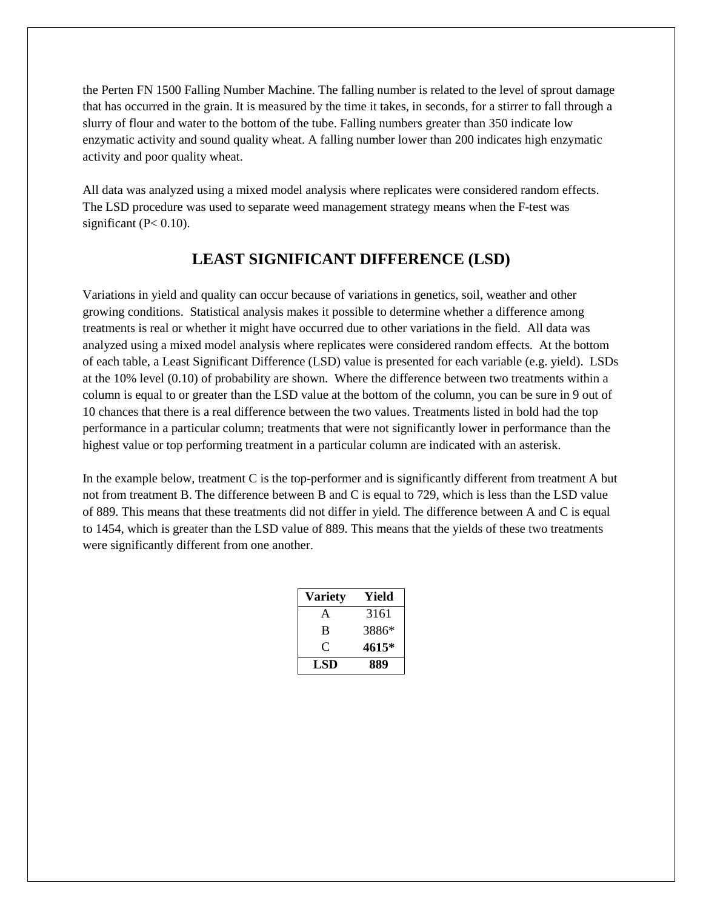the Perten FN 1500 Falling Number Machine. The falling number is related to the level of sprout damage that has occurred in the grain. It is measured by the time it takes, in seconds, for a stirrer to fall through a slurry of flour and water to the bottom of the tube. Falling numbers greater than 350 indicate low enzymatic activity and sound quality wheat. A falling number lower than 200 indicates high enzymatic activity and poor quality wheat.

All data was analyzed using a mixed model analysis where replicates were considered random effects. The LSD procedure was used to separate weed management strategy means when the F-test was significant ( $P < 0.10$ ).

#### **LEAST SIGNIFICANT DIFFERENCE (LSD)**

Variations in yield and quality can occur because of variations in genetics, soil, weather and other growing conditions. Statistical analysis makes it possible to determine whether a difference among treatments is real or whether it might have occurred due to other variations in the field. All data was analyzed using a mixed model analysis where replicates were considered random effects. At the bottom of each table, a Least Significant Difference (LSD) value is presented for each variable (e.g. yield). LSDs at the 10% level (0.10) of probability are shown. Where the difference between two treatments within a column is equal to or greater than the LSD value at the bottom of the column, you can be sure in 9 out of 10 chances that there is a real difference between the two values. Treatments listed in bold had the top performance in a particular column; treatments that were not significantly lower in performance than the highest value or top performing treatment in a particular column are indicated with an asterisk.

In the example below, treatment C is the top-performer and is significantly different from treatment A but not from treatment B. The difference between B and C is equal to 729, which is less than the LSD value of 889. This means that these treatments did not differ in yield. The difference between A and C is equal to 1454, which is greater than the LSD value of 889. This means that the yields of these two treatments were significantly different from one another.

| Variety | Yield |  |
|---------|-------|--|
| A       | 3161  |  |
| B       | 3886* |  |
| 0       | 4615* |  |
| LSD     | 889   |  |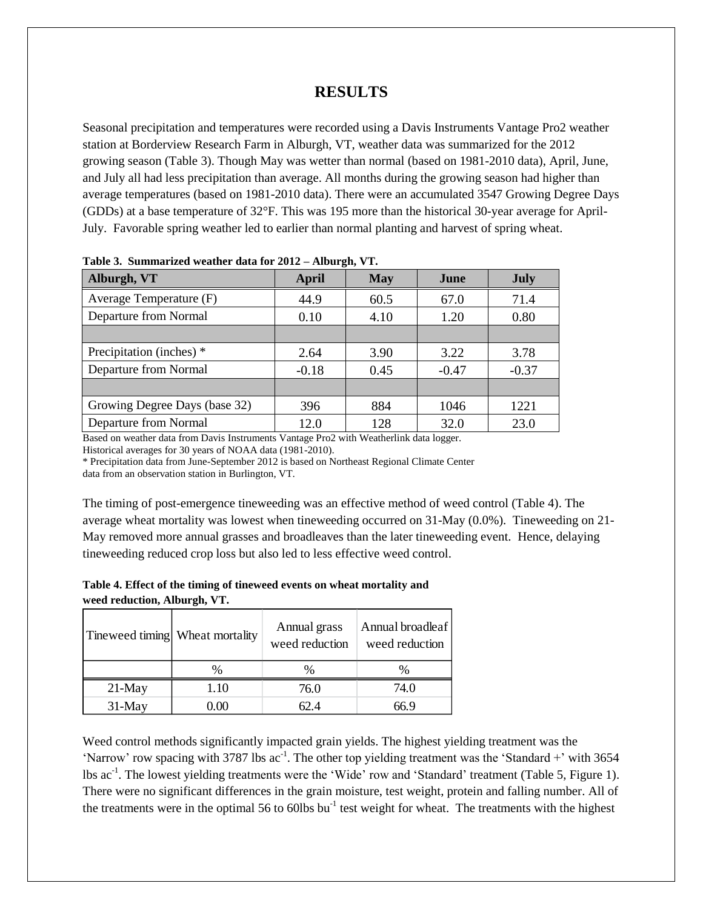#### **RESULTS**

Seasonal precipitation and temperatures were recorded using a Davis Instruments Vantage Pro2 weather station at Borderview Research Farm in Alburgh, VT, weather data was summarized for the 2012 growing season (Table 3). Though May was wetter than normal (based on 1981-2010 data), April, June, and July all had less precipitation than average. All months during the growing season had higher than average temperatures (based on 1981-2010 data). There were an accumulated 3547 Growing Degree Days (GDDs) at a base temperature of 32°F. This was 195 more than the historical 30-year average for April-July. Favorable spring weather led to earlier than normal planting and harvest of spring wheat.

| Alburgh, VT                   | April   | <b>May</b> | June    | <b>July</b> |
|-------------------------------|---------|------------|---------|-------------|
| Average Temperature (F)       | 44.9    | 60.5       | 67.0    | 71.4        |
| Departure from Normal         | 0.10    | 4.10       | 1.20    | 0.80        |
|                               |         |            |         |             |
| Precipitation (inches) *      | 2.64    | 3.90       | 3.22    | 3.78        |
| Departure from Normal         | $-0.18$ | 0.45       | $-0.47$ | $-0.37$     |
|                               |         |            |         |             |
| Growing Degree Days (base 32) | 396     | 884        | 1046    | 1221        |
| Departure from Normal         | 12.0    | 128        | 32.0    | 23.0        |

**Table 3. Summarized weather data for 2012 – Alburgh, VT.**

Based on weather data from Davis Instruments Vantage Pro2 with Weatherlink data logger.

Historical averages for 30 years of NOAA data (1981-2010).

\* Precipitation data from June-September 2012 is based on Northeast Regional Climate Center

data from an observation station in Burlington, VT.

The timing of post-emergence tineweeding was an effective method of weed control (Table 4). The average wheat mortality was lowest when tineweeding occurred on 31-May (0.0%). Tineweeding on 21- May removed more annual grasses and broadleaves than the later tineweeding event. Hence, delaying tineweeding reduced crop loss but also led to less effective weed control.

| Table 4. Effect of the timing of tineweed events on wheat mortality and |
|-------------------------------------------------------------------------|
| weed reduction, Alburgh, VT.                                            |

|           | Tineweed timing Wheat mortality |      | Annual broadleaf<br>weed reduction |  |
|-----------|---------------------------------|------|------------------------------------|--|
|           | $\%$                            | $\%$ |                                    |  |
| $21$ -May | 1.10                            | 76.0 | 74.0                               |  |
| $31$ -May | 0.OO                            | 62.4 | 66 9                               |  |

Weed control methods significantly impacted grain yields. The highest yielding treatment was the 'Narrow' row spacing with 3787 lbs  $ac^{-1}$ . The other top yielding treatment was the 'Standard +' with 3654 lbs ac<sup>-1</sup>. The lowest yielding treatments were the 'Wide' row and 'Standard' treatment (Table 5, Figure 1). There were no significant differences in the grain moisture, test weight, protein and falling number. All of the treatments were in the optimal 56 to 60lbs  $bu^{-1}$  test weight for wheat. The treatments with the highest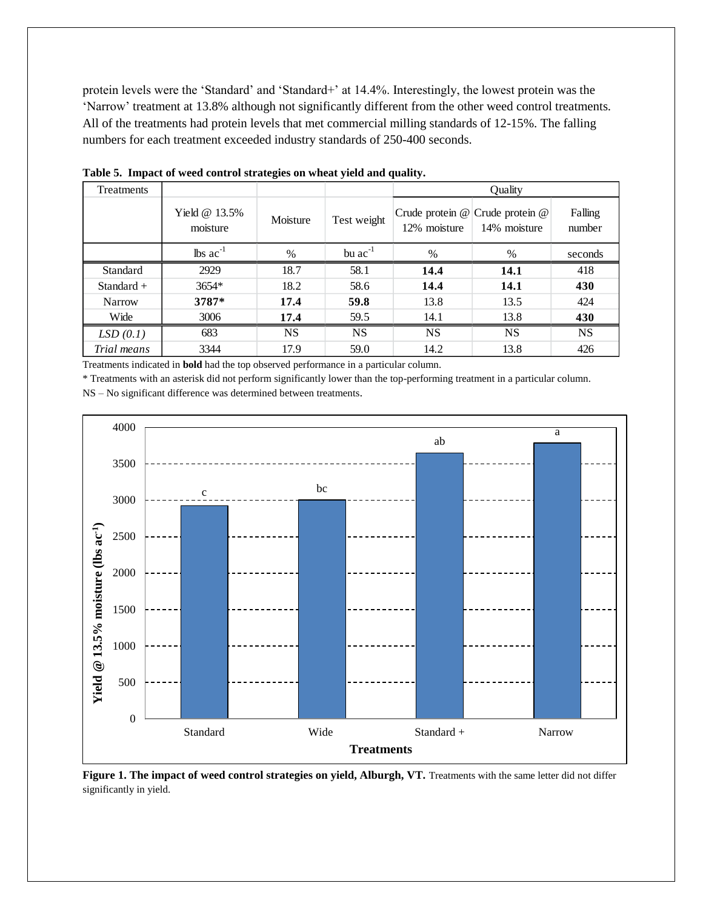protein levels were the 'Standard' and 'Standard+' at 14.4%. Interestingly, the lowest protein was the 'Narrow' treatment at 13.8% although not significantly different from the other weed control treatments. All of the treatments had protein levels that met commercial milling standards of 12-15%. The falling numbers for each treatment exceeded industry standards of 250-400 seconds.

| Treatments    |                               |          |              | Quality      |                                                     |                   |  |
|---------------|-------------------------------|----------|--------------|--------------|-----------------------------------------------------|-------------------|--|
|               | Yield $@13.5\%$<br>moisture   | Moisture | Test weight  | 12% moisture | Crude protein $@$ Crude protein $@$<br>14% moisture | Falling<br>number |  |
|               | $\text{lbs}$ ac <sup>-1</sup> | $\%$     | bu $ac^{-1}$ | $\%$         | %                                                   | seconds           |  |
| Standard      | 2929                          | 18.7     | 58.1         | 14.4         | 14.1                                                | 418               |  |
| Standard $+$  | 3654*                         | 18.2     | 58.6         | 14.4         | 14.1                                                | 430               |  |
| <b>Narrow</b> | 3787*                         | 17.4     | 59.8         | 13.8         | 13.5                                                | 424               |  |
| Wide          | 3006                          | 17.4     | 59.5         | 14.1         | 13.8                                                | 430               |  |
| LSD(0.1)      | 683                           | NS       | <b>NS</b>    | <b>NS</b>    | <b>NS</b>                                           | <b>NS</b>         |  |
| Trial means   | 3344                          | 17.9     | 59.0         | 14.2         | 13.8                                                | 426               |  |

**Table 5. Impact of weed control strategies on wheat yield and quality.**

Treatments indicated in **bold** had the top observed performance in a particular column.

\* Treatments with an asterisk did not perform significantly lower than the top-performing treatment in a particular column.

NS – No significant difference was determined between treatments.



**Figure 1. The impact of weed control strategies on yield, Alburgh, VT.** Treatments with the same letter did not differ significantly in yield.